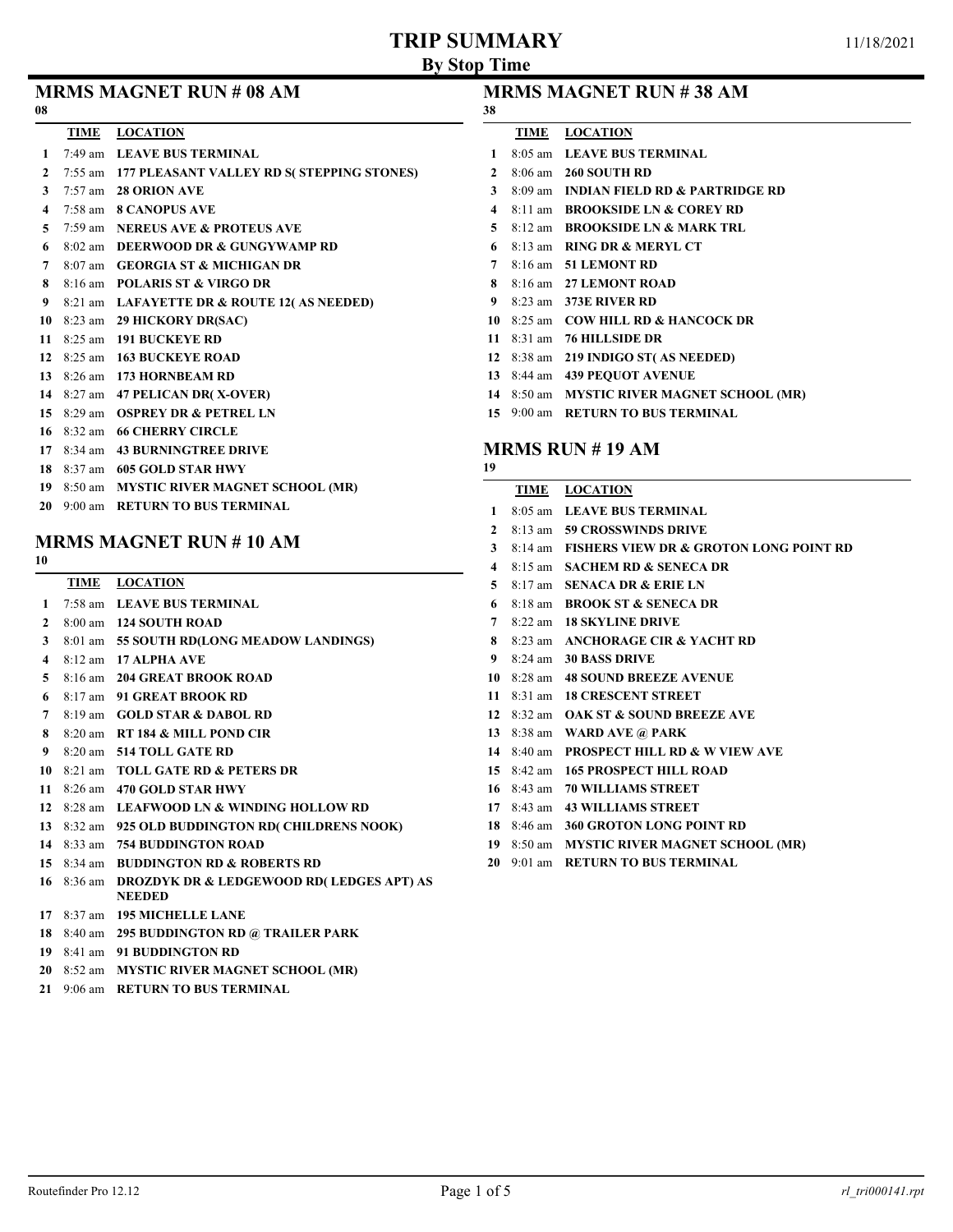## TRIP SUMMARY

| 08             |             | <b>MRMS MAGNET RUN # 08 AM</b>                    | 38           |             | <b>MRMS MAGNET RUN</b>                   |
|----------------|-------------|---------------------------------------------------|--------------|-------------|------------------------------------------|
|                | <b>TIME</b> | <b>LOCATION</b>                                   |              | TIME        | <b>LOCATION</b>                          |
| $\mathbf{1}$   |             | 7:49 am LEAVE BUS TERMINAL                        | $\mathbf{1}$ |             | 8:05 am LEAVE BUS TERMI                  |
| $\overline{2}$ |             | 7:55 am 177 PLEASANT VALLEY RD S(STEPPING STONES) | $\mathbf{2}$ |             | 8:06 am 260 SOUTH RD                     |
| 3              |             | 7:57 am 28 ORION AVE                              | 3            |             | 8:09 am INDIAN FIELD RD &                |
| 4              |             | 7:58 am 8 CANOPUS AVE                             | 4            |             | 8:11 am BROOKSIDE LN & 0                 |
| 5              |             | 7:59 am NEREUS AVE & PROTEUS AVE                  | 5            |             | 8:12 am BROOKSIDE LN & I                 |
| 6              |             | 8:02 am DEERWOOD DR & GUNGYWAMP RD                | 6            |             | 8:13 am RING DR & MERYL                  |
|                |             | 8:07 am GEORGIA ST & MICHIGAN DR                  | 7            |             | 8:16 am 51 LEMONT RD                     |
| 8              |             | 8:16 am POLARIS ST & VIRGO DR                     | 8            |             | 8:16 am 27 LEMONT ROAD                   |
| 9              |             | 8:21 am LAFAYETTE DR & ROUTE 12(AS NEEDED)        | 9            |             | 8:23 am 373E RIVER RD                    |
|                |             | 10 8:23 am 29 HICKORY DR(SAC)                     | 10           |             | 8:25 am COW HILL RD & HA                 |
| 11             |             | 8:25 am 191 BUCKEYE RD                            |              |             | 11 8:31 am 76 HILLSIDE DR                |
|                |             | 12 8:25 am 163 BUCKEYE ROAD                       |              |             | 12 8:38 am 219 INDIGO ST(AS)             |
|                |             | 13 8:26 am 173 HORNBEAM RD                        |              |             | 13 8:44 am 439 PEQUOT AVENI              |
|                |             | 14 8:27 am 47 PELICAN DR(X-OVER)                  |              |             | 14 8:50 am MYSTIC RIVER MA               |
| 15             |             | 8:29 am OSPREY DR & PETREL LN                     |              |             | 15 9:00 am RETURN TO BUS TI              |
|                |             | 16 8:32 am 66 CHERRY CIRCLE                       |              |             |                                          |
|                |             | 17 8:34 am 43 BURNINGTREE DRIVE                   |              |             | MRMS RUN $# 19 AM$                       |
|                |             | 18 8:37 am 605 GOLD STAR HWY                      | 19           |             |                                          |
|                |             | 19 8:50 am MYSTIC RIVER MAGNET SCHOOL (MR)        |              | <b>TIME</b> | <b>LOCATION</b>                          |
| 20             |             | 9:00 am RETURN TO BUS TERMINAL                    | 1            |             | 8:05 am LEAVE BUS TERMI                  |
|                |             |                                                   |              |             | $2 \times 13$ am <b>50 CROSSWINDS DE</b> |

## MRMS MAGNET RUN # 10 AM

| I<br>۰,<br>× |  |
|--------------|--|
|              |  |

| 10                      |                      |                                                      |
|-------------------------|----------------------|------------------------------------------------------|
|                         | TIME                 | <b>LOCATION</b>                                      |
| 1                       |                      | 7:58 am LEAVE BUS TERMINAL                           |
| $\mathbf{2}$            |                      | 8:00 am 124 SOUTH ROAD                               |
| 3                       |                      | 8:01 am 55 SOUTH RD(LONG MEADOW LANDINGS)            |
| $\overline{\mathbf{4}}$ |                      | 8:12 am 17 ALPHA AVE                                 |
| 5.                      |                      | 8:16 am 204 GREAT BROOK ROAD                         |
| 6                       |                      | 8:17 am 91 GREAT BROOK RD                            |
| 7                       |                      | 8:19 am GOLD STAR & DABOL RD                         |
| 8                       |                      | 8:20 am RT 184 & MILL POND CIR                       |
| 9                       |                      | 8:20 am 514 TOLL GATE RD                             |
|                         |                      | 10 8:21 am TOLL GATE RD & PETERS DR                  |
| 11                      |                      | 8:26 am 470 GOLD STAR HWY                            |
| 12                      |                      | 8:28 am LEAFWOOD LN & WINDING HOLLOW RD              |
|                         |                      | 13 8:32 am 925 OLD BUDDINGTON RD(CHILDRENS NOOK)     |
|                         |                      | 14 8:33 am 754 BUDDINGTON ROAD                       |
|                         |                      | 15 8:34 am BUDDINGTON RD & ROBERTS RD                |
| 16                      | 8:36 am              | <b>DROZDYK DR &amp; LEDGEWOOD RD( LEDGES APT) AS</b> |
|                         |                      | <b>NEEDED</b>                                        |
| 17                      |                      | 8:37 am 195 MICHELLE LANE                            |
|                         | 18 $8:40 \text{ am}$ | <b>295 BUDDINGTON RD @ TRAILER PARK</b>              |

#### 8:41 am 91 BUDDINGTON RD

- 8:52 am MYSTIC RIVER MAGNET SCHOOL (MR)
- 9:06 am RETURN TO BUS TERMINAL

### # 38 AM

| 38             |                      |                                            |
|----------------|----------------------|--------------------------------------------|
|                | TIME                 | <b>LOCATION</b>                            |
| 1              |                      | 8:05 am LEAVE BUS TERMINAL                 |
| $\mathcal{L}$  |                      | 8:06 am 260 SOUTH RD                       |
| 3              |                      | 8:09 am INDIAN FIELD RD & PARTRIDGE RD     |
| 4              | $8:11$ am            | <b>BROOKSIDE LN &amp; COREY RD</b>         |
| 5              | $8:12 \text{ am}$    | <b>BROOKSIDE LN &amp; MARK TRL</b>         |
| 6              |                      | 8:13 am RING DR & MERYL CT                 |
| $\overline{7}$ |                      | $8:16$ am $51$ LEMONT RD                   |
| 8              |                      | 8:16 am 27 LEMONT ROAD                     |
| 9              |                      | 8:23 am 373E RIVER RD                      |
| 10             | $8:25$ am            | <b>COW HILL RD &amp; HANCOCK DR</b>        |
| 11             |                      | 8:31 am 76 HILLSIDE DR                     |
|                | 12 $8:38$ am         | 219 INDIGO ST(AS NEEDED)                   |
|                | 13 $8:44 \text{ am}$ | <b>439 PEOUOT AVENUE</b>                   |
|                |                      | 14 8:50 am MYSTIC RIVER MAGNET SCHOOL (MR) |
| 15             | $9:00 \text{ am}$    | <b>RETURN TO BUS TERMINAL</b>              |
|                |                      |                                            |

## $$  8:13 am 59 CROSSWINDS DRIVE 8:14 am FISHERS VIEW DR & GROTON LONG POINT RD 8:15 am SACHEM RD & SENECA DR 8:17 am SENACA DR & ERIE LN 8:18 am BROOK ST & SENECA DR 8:22 am 18 SKYLINE DRIVE 8 8:23 am ANCHORAGE CIR & YACHT RD 8:24 am 30 BASS DRIVE 8:28 am 48 SOUND BREEZE AVENUE 8:31 am 18 CRESCENT STREET 8:32 am OAK ST & SOUND BREEZE AVE 8:38 am WARD AVE @ PARK 8:40 am PROSPECT HILL RD & W VIEW AVE 8:42 am 165 PROSPECT HILL ROAD 8:43 am 70 WILLIAMS STREET 8:43 am 43 WILLIAMS STREET 8:46 am 360 GROTON LONG POINT RD 8:50 am MYSTIC RIVER MAGNET SCHOOL (MR)

9:01 am RETURN TO BUS TERMINAL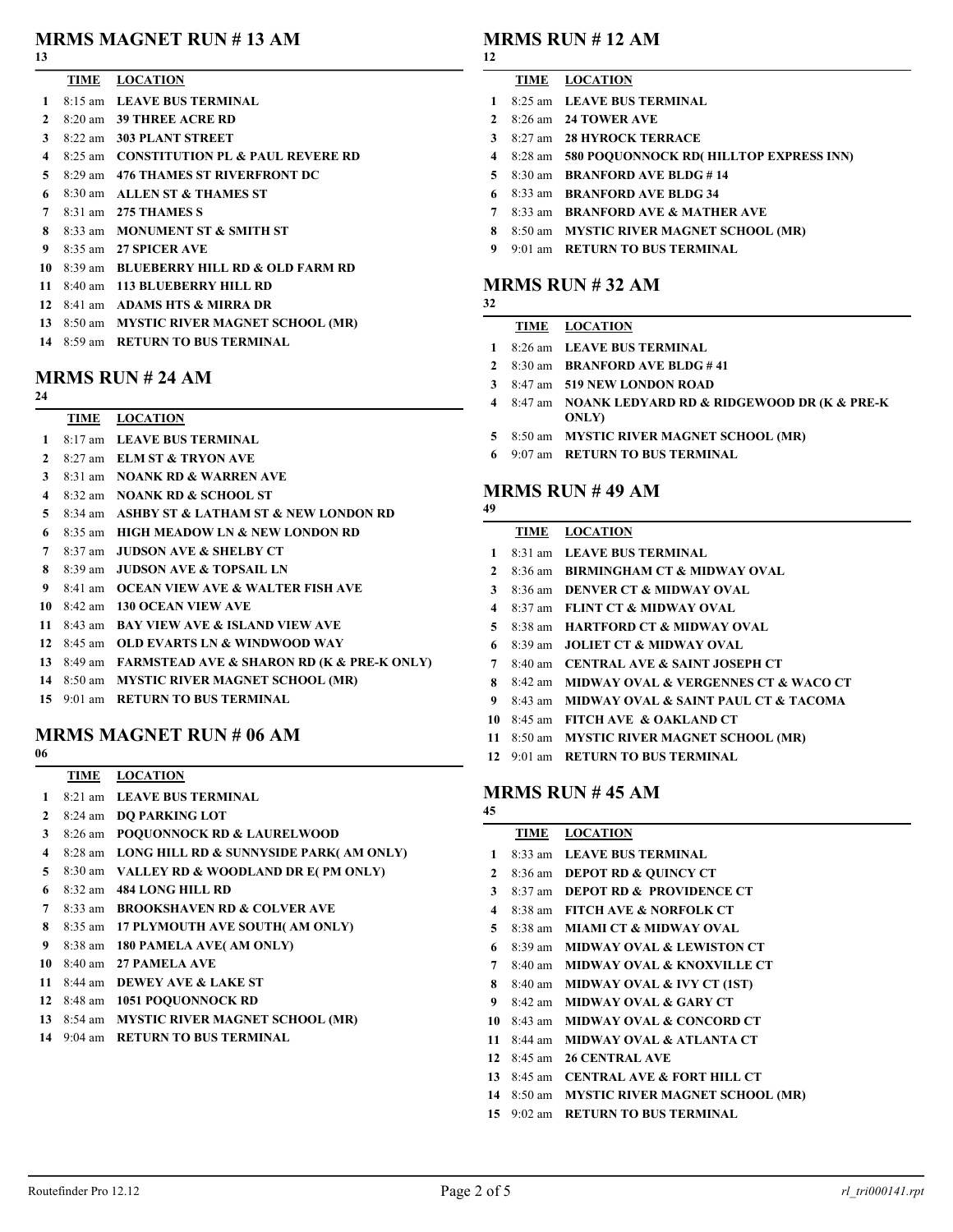# MRMS MAGNET RUN # 13 AM

### 

- TIME LOCATION 8:15 am LEAVE BUS TERMINAL
- 8:20 am 39 THREE ACRE RD
- 8:22 am 303 PLANT STREET
- 8:25 am CONSTITUTION PL & PAUL REVERE RD
- 8:29 am 476 THAMES ST RIVERFRONT DC
- 8:30 am ALLEN ST & THAMES ST
- 8:31 am 275 THAMES S
- 8 8:33 am MONUMENT ST & SMITH ST
- 8:35 am 27 SPICER AVE
- 8:39 am BLUEBERRY HILL RD & OLD FARM RD
- 8:40 am 113 BLUEBERRY HILL RD
- 8:41 am ADAMS HTS & MIRRA DR
- 8:50 am MYSTIC RIVER MAGNET SCHOOL (MR)
- 8:59 am RETURN TO BUS TERMINAL

### MRMS RUN # 24 AM

TIME LOCATION

- 8:17 am LEAVE BUS TERMINAL
- 8:27 am ELM ST & TRYON AVE
- 8:31 am NOANK RD & WARREN AVE
- 8:32 am NOANK RD & SCHOOL ST
- 8:34 am ASHBY ST & LATHAM ST & NEW LONDON RD
- 8:35 am HIGH MEADOW LN & NEW LONDON RD
- 8:37 am JUDSON AVE & SHELBY CT
- 8 8:39 am JUDSON AVE & TOPSAIL LN
- 8:41 am OCEAN VIEW AVE & WALTER FISH AVE
- 8:42 am 130 OCEAN VIEW AVE
- 8:43 am BAY VIEW AVE & ISLAND VIEW AVE
- 8:45 am OLD EVARTS LN & WINDWOOD WAY
- 8:49 am FARMSTEAD AVE & SHARON RD (K & PRE-K ONLY)
- 8:50 am MYSTIC RIVER MAGNET SCHOOL (MR)
- 9:01 am RETURN TO BUS TERMINAL

# MRMS MAGNET RUN # 06 AM

### TIME LOCATION

- 8:21 am LEAVE BUS TERMINAL
- 8:24 am DQ PARKING LOT
- 8:26 am POQUONNOCK RD & LAURELWOOD
- 8:28 am LONG HILL RD & SUNNYSIDE PARK( AM ONLY)
- 8:30 am VALLEY RD & WOODLAND DR E( PM ONLY)
- 8:32 am 484 LONG HILL RD
- 8:33 am BROOKSHAVEN RD & COLVER AVE
- 8:35 am 17 PLYMOUTH AVE SOUTH( AM ONLY)
- 8:38 am 180 PAMELA AVE( AM ONLY)
- 8:40 am 27 PAMELA AVE
- 8:44 am DEWEY AVE & LAKE ST
- 8:48 am 1051 POQUONNOCK RD
- 8:54 am MYSTIC RIVER MAGNET SCHOOL (MR)
- 9:04 am RETURN TO BUS TERMINAL

## MRMS RUN # 12 AM

### TIME LOCATION

- 8:25 am LEAVE BUS TERMINAL
- 8:26 am 24 TOWER AVE
- 8:27 am 28 HYROCK TERRACE
- 8:28 am 580 POQUONNOCK RD( HILLTOP EXPRESS INN)
- 5 8:30 am BRANFORD AVE BLDG #14
- 8:33 am BRANFORD AVE BLDG 34
- 8:33 am BRANFORD AVE & MATHER AVE
- 8:50 am MYSTIC RIVER MAGNET SCHOOL (MR)
- 9 9:01 am RETURN TO BUS TERMINAL

#### MRMS RUN # 32 AM

### TIME LOCATION

- 8:26 am LEAVE BUS TERMINAL
- 2 8:30 am BRANFORD AVE BLDG #41
- 8:47 am 519 NEW LONDON ROAD
- 4 8:47 am NOANK LEDYARD RD & RIDGEWOOD DR (K & PRE-K ONLY)
- 8:50 am MYSTIC RIVER MAGNET SCHOOL (MR)
- 9:07 am RETURN TO BUS TERMINAL

### MRMS RUN # 49 AM

### TIME LOCATION

- 8:31 am LEAVE BUS TERMINAL
- 8:36 am BIRMINGHAM CT & MIDWAY OVAL
- 8:36 am DENVER CT & MIDWAY OVAL
- 8:37 am FLINT CT & MIDWAY OVAL
- 8:38 am HARTFORD CT & MIDWAY OVAL
- 8:39 am JOLIET CT & MIDWAY OVAL
- 8:40 am CENTRAL AVE & SAINT JOSEPH CT
- 8 8:42 am MIDWAY OVAL & VERGENNES CT & WACO CT
- 8:43 am MIDWAY OVAL & SAINT PAUL CT & TACOMA
- 8:45 am FITCH AVE & OAKLAND CT
- 8:50 am MYSTIC RIVER MAGNET SCHOOL (MR)
- 9:01 am RETURN TO BUS TERMINAL

### MRMS RUN # 45 AM

|              | TIME              | <b>LOCATION</b>                        |
|--------------|-------------------|----------------------------------------|
| 1            |                   | 8:33 am LEAVE BUS TERMINAL             |
| $\mathbf{2}$ | 8:36 am           | <b>DEPOT RD &amp; QUINCY CT</b>        |
| 3            | $8:37$ am         | <b>DEPOT RD &amp; PROVIDENCE CT</b>    |
| 4            | 8:38 am           | <b>FITCH AVE &amp; NORFOLK CT</b>      |
| 5            | 8:38 am           | <b>MIAMI CT &amp; MIDWAY OVAL</b>      |
| 6            | $8:39 \text{ am}$ | <b>MIDWAY OVAL &amp; LEWISTON CT</b>   |
| 7            | $8:40 \text{ am}$ | <b>MIDWAY OVAL &amp; KNOXVILLE CT</b>  |
| 8            | 8:40 am           | <b>MIDWAY OVAL &amp; IVY CT (1ST)</b>  |
| 9            | 8:42 am           | <b>MIDWAY OVAL &amp; GARY CT</b>       |
| 10           | $8:43$ am         | <b>MIDWAY OVAL &amp; CONCORD CT</b>    |
| 11           | 8:44 am           | <b>MIDWAY OVAL &amp; ATLANTA CT</b>    |
| 12           | $8:45$ am         | <b>26 CENTRAL AVE</b>                  |
| 13           | $8:45$ am         | <b>CENTRAL AVE &amp; FORT HILL CT</b>  |
| 14           | $8:50 \text{ am}$ | <b>MYSTIC RIVER MAGNET SCHOOL (MR)</b> |
| 15           |                   | 9:02 am RETURN TO BUS TERMINAL         |
|              |                   |                                        |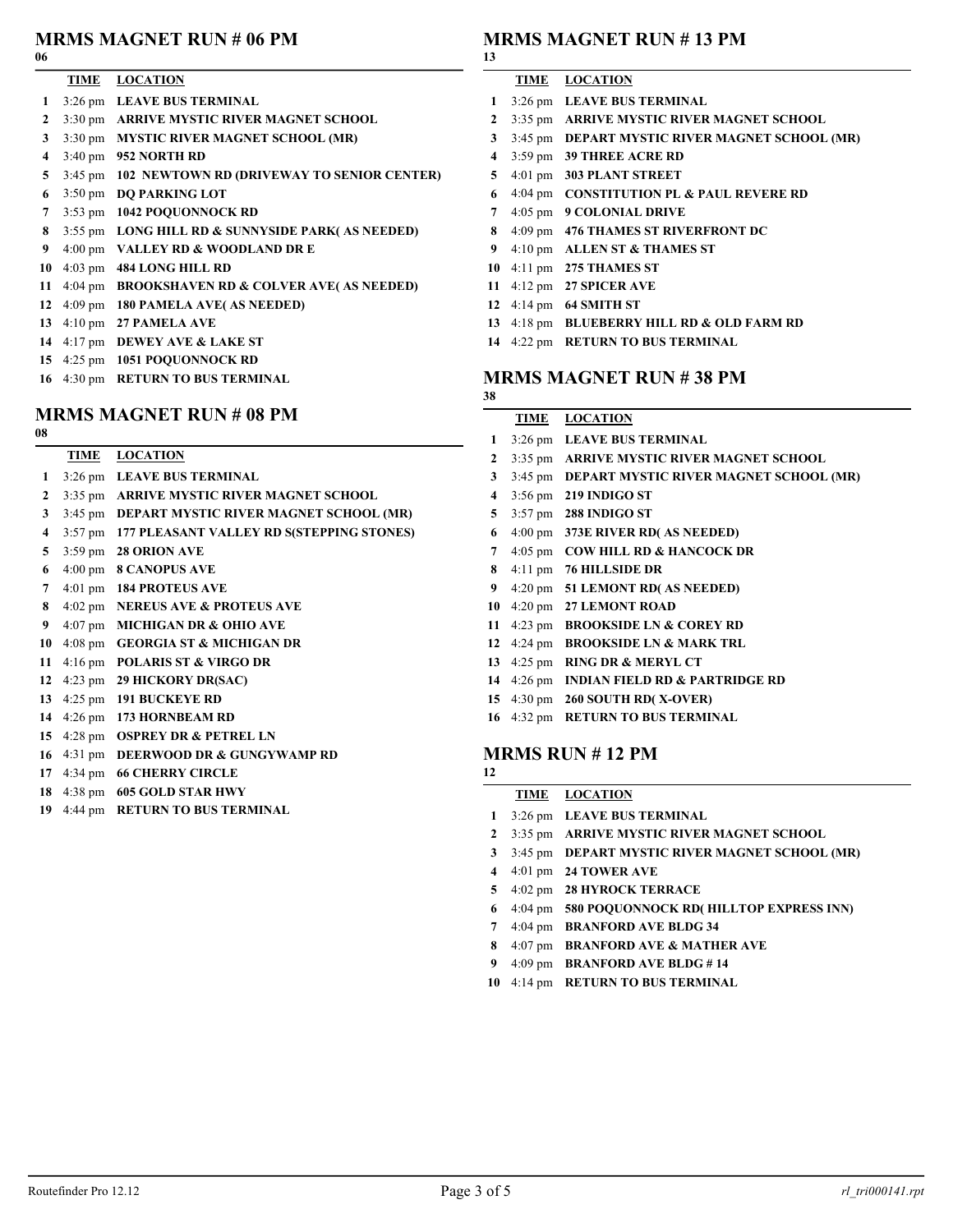# MRMS MAGNET RUN # 06 PM

### 

| <b>TIME</b>       | <b>LOCATION</b>        |  |  |
|-------------------|------------------------|--|--|
| $2.26 \text{ mm}$ | <b>I EAVE DHC TEDA</b> |  |  |

- 3:26 pm LEAVE BUS TERMINAL 3:30 pm ARRIVE MYSTIC RIVER MAGNET SCHOOL
- 3:30 pm MYSTIC RIVER MAGNET SCHOOL (MR)
- 3:40 pm 952 NORTH RD
- 3:45 pm 102 NEWTOWN RD (DRIVEWAY TO SENIOR CENTER)
- 3:50 pm DQ PARKING LOT
- 3:53 pm 1042 POQUONNOCK RD
- 3:55 pm LONG HILL RD & SUNNYSIDE PARK( AS NEEDED)
- 4:00 pm VALLEY RD & WOODLAND DR E
- 4:03 pm 484 LONG HILL RD
- 4:04 pm BROOKSHAVEN RD & COLVER AVE( AS NEEDED)
- 4:09 pm 180 PAMELA AVE( AS NEEDED)
- 4:10 pm 27 PAMELA AVE
- 4:17 pm DEWEY AVE & LAKE ST
- 4:25 pm 1051 POQUONNOCK RD
- 4:30 pm RETURN TO BUS TERMINAL

# MRMS MAGNET RUN # 08 PM

| I<br>×<br>۰, | ۰. |  |
|--------------|----|--|
|              |    |  |

- TIME LOCATION
- 3:26 pm LEAVE BUS TERMINAL
- 3:35 pm ARRIVE MYSTIC RIVER MAGNET SCHOOL
- 3:45 pm DEPART MYSTIC RIVER MAGNET SCHOOL (MR)
- 3:57 pm 177 PLEASANT VALLEY RD S(STEPPING STONES)
- 3:59 pm 28 ORION AVE
- 4:00 pm 8 CANOPUS AVE
- 4:01 pm 184 PROTEUS AVE
- 4:02 pm NEREUS AVE & PROTEUS AVE
- 4:07 pm MICHIGAN DR & OHIO AVE
- 4:08 pm GEORGIA ST & MICHIGAN DR
- 4:16 pm POLARIS ST & VIRGO DR
- 4:23 pm 29 HICKORY DR(SAC)
- 4:25 pm 191 BUCKEYE RD
- 4:26 pm 173 HORNBEAM RD
- 4:28 pm OSPREY DR & PETREL LN
- 4:31 pm DEERWOOD DR & GUNGYWAMP RD
- 4:34 pm 66 CHERRY CIRCLE
- 4:38 pm 605 GOLD STAR HWY
- 4:44 pm RETURN TO BUS TERMINAL

## MRMS MAGNET RUN # 13 PM

## 

- TIME LOCATION 3:26 pm LEAVE BUS TERMINAL 3:35 pm ARRIVE MYSTIC RIVER MAGNET SCHOOL 3:45 pm DEPART MYSTIC RIVER MAGNET SCHOOL (MR) 3:59 pm 39 THREE ACRE RD 4:01 pm 303 PLANT STREET 4:04 pm CONSTITUTION PL & PAUL REVERE RD 4:05 pm 9 COLONIAL DRIVE
- 8 4:09 pm 476 THAMES ST RIVERFRONT DC
- 9 4:10 pm ALLEN ST & THAMES ST
- 4:11 pm 275 THAMES ST
- 4:12 pm 27 SPICER AVE
- 4:14 pm 64 SMITH ST
- 4:18 pm BLUEBERRY HILL RD & OLD FARM RD
- 4:22 pm RETURN TO BUS TERMINAL

## MRMS MAGNET RUN # 38 PM

### TIME LOCATION

- 3:26 pm LEAVE BUS TERMINAL
- 3:35 pm ARRIVE MYSTIC RIVER MAGNET SCHOOL
- 3:45 pm DEPART MYSTIC RIVER MAGNET SCHOOL (MR)
- 3:56 pm 219 INDIGO ST
- 3:57 pm 288 INDIGO ST
- 4:00 pm 373E RIVER RD( AS NEEDED)
- 4:05 pm COW HILL RD & HANCOCK DR
- 4:11 pm 76 HILLSIDE DR
- 4:20 pm 51 LEMONT RD( AS NEEDED)
- 4:20 pm 27 LEMONT ROAD
- 4:23 pm BROOKSIDE LN & COREY RD
- 4:24 pm BROOKSIDE LN & MARK TRL
- 4:25 pm RING DR & MERYL CT
- 4:26 pm INDIAN FIELD RD & PARTRIDGE RD
- 4:30 pm 260 SOUTH RD( X-OVER)
- 4:32 pm RETURN TO BUS TERMINAL

## MRMS RUN # 12 PM

- TIME LOCATION
- 3:26 pm LEAVE BUS TERMINAL
- 3:35 pm ARRIVE MYSTIC RIVER MAGNET SCHOOL
- 3:45 pm DEPART MYSTIC RIVER MAGNET SCHOOL (MR)
- 4:01 pm 24 TOWER AVE
- 4:02 pm 28 HYROCK TERRACE
- 4:04 pm 580 POQUONNOCK RD( HILLTOP EXPRESS INN)
- 4:04 pm BRANFORD AVE BLDG 34
- 8 4:07 pm BRANFORD AVE & MATHER AVE
- 9 4:09 pm BRANFORD AVE BLDG #14
- 4:14 pm RETURN TO BUS TERMINAL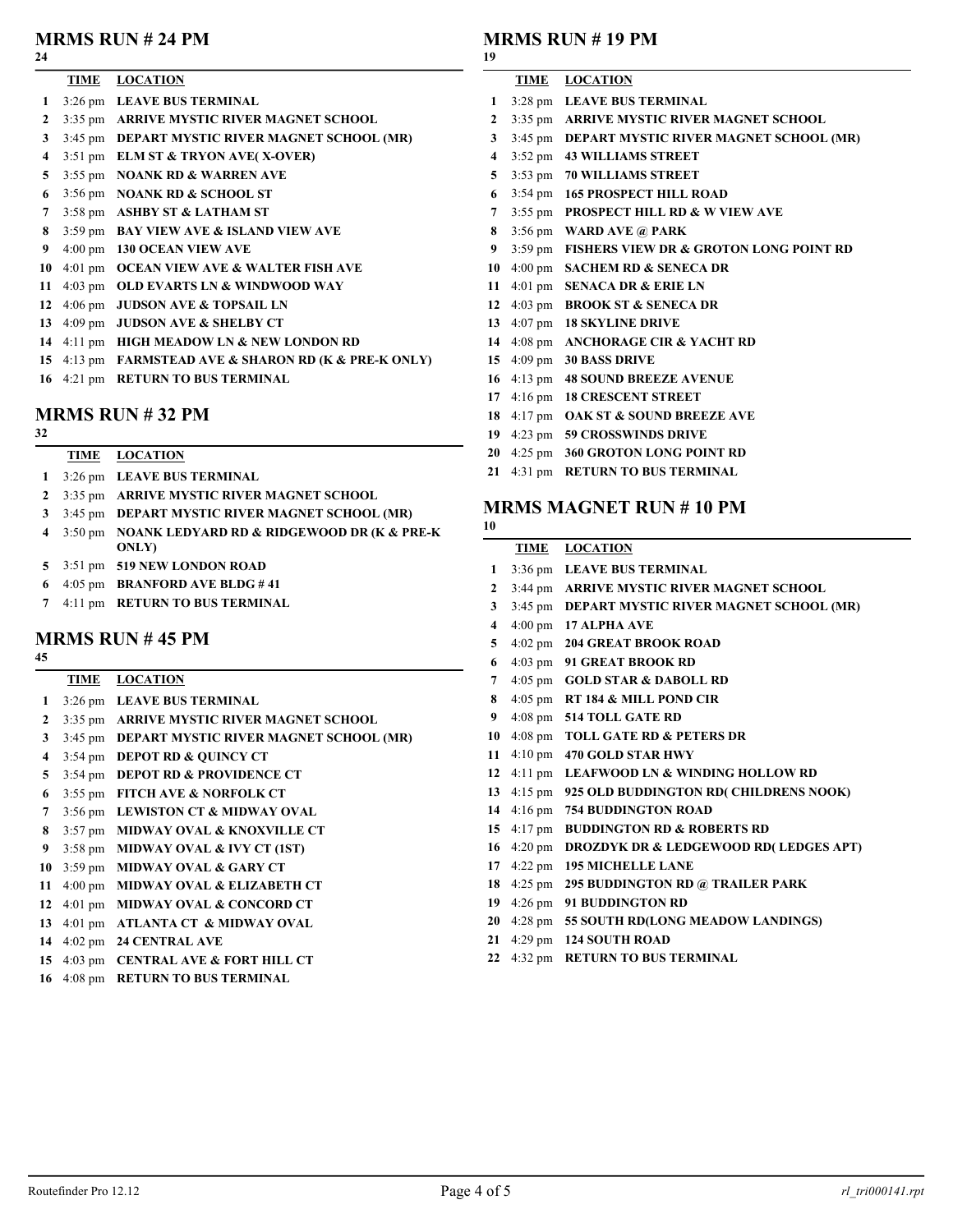### MRMS RUN # 24 PM

#### 

| 24           |                                                |
|--------------|------------------------------------------------|
|              | TIME LOCATION                                  |
| 1            | 3:26 pm LEAVE BUS TERMINAL                     |
| $\mathbf{2}$ | 3:35 pm ARRIVE MYSTIC RIVER MAGNET SCHOOL      |
| 3            | 3:45 pm DEPART MYSTIC RIVER MAGNET SCHOOL (MR) |
| 4            | $3:51 \text{ pm}$ ELM ST & TRYON AVE(X-OVER)   |
| 5            | 3:55 pm NOANK RD & WARREN AVE                  |
| 6            | 3:56 pm NOANK RD & SCHOOL ST                   |
| $\mathbf{7}$ | 3:58 pm ASHBY ST & LATHAM ST                   |
| 8            | 3:59 pm BAY VIEW AVE & ISLAND VIEW AVE         |
| 9            | 4:00 pm 130 OCEAN VIEW AVE                     |
| 10           | 4:01 pm OCEAN VIEW AVE & WALTER FISH AVE       |
| 11           | 4:03 pm OLD EVARTS LN & WINDWOOD WAY           |

- 4:06 pm JUDSON AVE & TOPSAIL LN
- 4:09 pm JUDSON AVE & SHELBY CT
- 4:11 pm HIGH MEADOW LN & NEW LONDON RD
- 4:13 pm FARMSTEAD AVE & SHARON RD (K & PRE-K ONLY)
- 4:21 pm RETURN TO BUS TERMINAL

### MRMS RUN # 32 PM

| <b>TIME</b> | <b>LOCATION</b> |
|-------------|-----------------|
|             |                 |

- 3:26 pm LEAVE BUS TERMINAL
- 3:35 pm ARRIVE MYSTIC RIVER MAGNET SCHOOL
- 3:45 pm DEPART MYSTIC RIVER MAGNET SCHOOL (MR)
- 4 3:50 pm NOANK LEDYARD RD & RIDGEWOOD DR (K & PRE-K ONLY)
- 3:51 pm 519 NEW LONDON ROAD
- 4:05 pm BRANFORD AVE BLDG # 41
- 4:11 pm RETURN TO BUS TERMINAL

### MRMS RUN # 45 PM

- 
- TIME LOCATION 3:26 pm LEAVE BUS TERMINAL 3:35 pm ARRIVE MYSTIC RIVER MAGNET SCHOOL
- 3:45 pm DEPART MYSTIC RIVER MAGNET SCHOOL (MR)
- 3:54 pm DEPOT RD & QUINCY CT
- 5 3:54 pm DEPOT RD & PROVIDENCE CT
- 3:55 pm FITCH AVE & NORFOLK CT
- 3:56 pm LEWISTON CT & MIDWAY OVAL
- 8 3:57 pm MIDWAY OVAL & KNOXVILLE CT
- 9 3:58 pm MIDWAY OVAL & IVY CT (1ST)
- 3:59 pm MIDWAY OVAL & GARY CT
- 4:00 pm MIDWAY OVAL & ELIZABETH CT
- 4:01 pm MIDWAY OVAL & CONCORD CT
- 4:01 pm ATLANTA CT & MIDWAY OVAL
- 4:02 pm 24 CENTRAL AVE
- 4:03 pm CENTRAL AVE & FORT HILL CT
- 4:08 pm RETURN TO BUS TERMINAL

## MRMS RUN # 19 PM

|                         |                      | 171111110 11011 11 17 1111                        |
|-------------------------|----------------------|---------------------------------------------------|
| 19                      |                      |                                                   |
|                         | TIME                 | <b>LOCATION</b>                                   |
| 1                       |                      | 3:28 pm LEAVE BUS TERMINAL                        |
| $\mathbf{2}$            |                      | 3:35 pm ARRIVE MYSTIC RIVER MAGNET SCHOOL         |
| 3 <sup>1</sup>          | $3:45$ pm            | DEPART MYSTIC RIVER MAGNET SCHOOL (MR)            |
| $\overline{\mathbf{4}}$ |                      | 3:52 pm 43 WILLIAMS STREET                        |
| 5 <sup>5</sup>          |                      | 3:53 pm 70 WILLIAMS STREET                        |
| 6                       | $3:54 \text{ pm}$    | <b>165 PROSPECT HILL ROAD</b>                     |
| $\overline{7}$          | $3:55$ pm            | <b>PROSPECT HILL RD &amp; W VIEW AVE</b>          |
|                         | 8 $3:56 \text{ pm}$  | <b>WARD AVE @ PARK</b>                            |
| 9                       | $3:59$ pm            | <b>FISHERS VIEW DR &amp; GROTON LONG POINT RD</b> |
|                         | 10 $4:00 \text{ pm}$ | <b>SACHEM RD &amp; SENECA DR</b>                  |
|                         | 11 $4:01 \text{ pm}$ | <b>SENACA DR &amp; ERIE LN</b>                    |
|                         | 12 $4:03 \text{ pm}$ | <b>BROOK ST &amp; SENECA DR</b>                   |
|                         | 13 $4:07 \text{ pm}$ | <b>18 SKYLINE DRIVE</b>                           |
|                         | 14 $4:08 \text{ pm}$ | <b>ANCHORAGE CIR &amp; YACHT RD</b>               |
|                         | 15 $4:09 \text{ pm}$ | <b>30 BASS DRIVE</b>                              |
|                         | 16 $4:13 \text{ pm}$ | <b>48 SOUND BREEZE AVENUE</b>                     |
|                         | 17 $4:16 \text{ pm}$ | <b>18 CRESCENT STREET</b>                         |
| 18                      | $4:17 \text{ pm}$    | <b>OAK ST &amp; SOUND BREEZE AVE</b>              |
|                         |                      |                                                   |

- 4:23 pm 59 CROSSWINDS DRIVE
- 4:25 pm 360 GROTON LONG POINT RD
- 4:31 pm RETURN TO BUS TERMINAL

### MRMS MAGNET RUN # 10 PM

|                | TIME                 | <b>LOCATION</b>                                   |
|----------------|----------------------|---------------------------------------------------|
| 1              |                      | 3:36 pm LEAVE BUS TERMINAL                        |
| $\overline{2}$ | $3:44 \text{ pm}$    | <b>ARRIVE MYSTIC RIVER MAGNET SCHOOL</b>          |
| 3              | $3:45 \text{ pm}$    | DEPART MYSTIC RIVER MAGNET SCHOOL (MR)            |
| $\overline{4}$ | $4:00 \text{ pm}$    | <b>17 ALPHA AVE</b>                               |
| 5              | $4:02 \text{ pm}$    | <b>204 GREAT BROOK ROAD</b>                       |
| 6              | $4:03 \text{ pm}$    | <b>91 GREAT BROOK RD</b>                          |
| $7^{\circ}$    | $4:05$ pm            | <b>GOLD STAR &amp; DABOLL RD</b>                  |
| 8              | $4:05$ pm            | RT 184 & MILL POND CIR                            |
| 9              |                      | 4:08 pm 514 TOLL GATE RD                          |
| 10             | $4:08 \text{ pm}$    | <b>TOLL GATE RD &amp; PETERS DR</b>               |
| 11             | $4:10 \text{ pm}$    | <b>470 GOLD STAR HWY</b>                          |
| 12             |                      | 4:11 pm LEAFWOOD LN & WINDING HOLLOW RD           |
| 13             | $4:15 \text{ pm}$    | 925 OLD BUDDINGTON RD( CHILDRENS NOOK)            |
| 14             | $4:16 \text{ pm}$    | <b>754 BUDDINGTON ROAD</b>                        |
|                | 15 $4:17 \text{ pm}$ | <b>BUDDINGTON RD &amp; ROBERTS RD</b>             |
|                | 16 $4:20 \text{ pm}$ | <b>DROZDYK DR &amp; LEDGEWOOD RD( LEDGES APT)</b> |
| 17             | 4:22 pm              | <b>195 MICHELLE LANE</b>                          |
| 18             | $4:25$ pm            | <b>295 BUDDINGTON RD @ TRAILER PARK</b>           |
|                | 19 $4:26 \text{ pm}$ | <b>91 BUDDINGTON RD</b>                           |
|                |                      | 20 4:28 pm 55 SOUTH RD(LONG MEADOW LANDINGS)      |
| 21             | $4:29$ pm            | <b>124 SOUTH ROAD</b>                             |
| 22             | $4:32$ pm            | <b>RETURN TO BUS TERMINAL</b>                     |